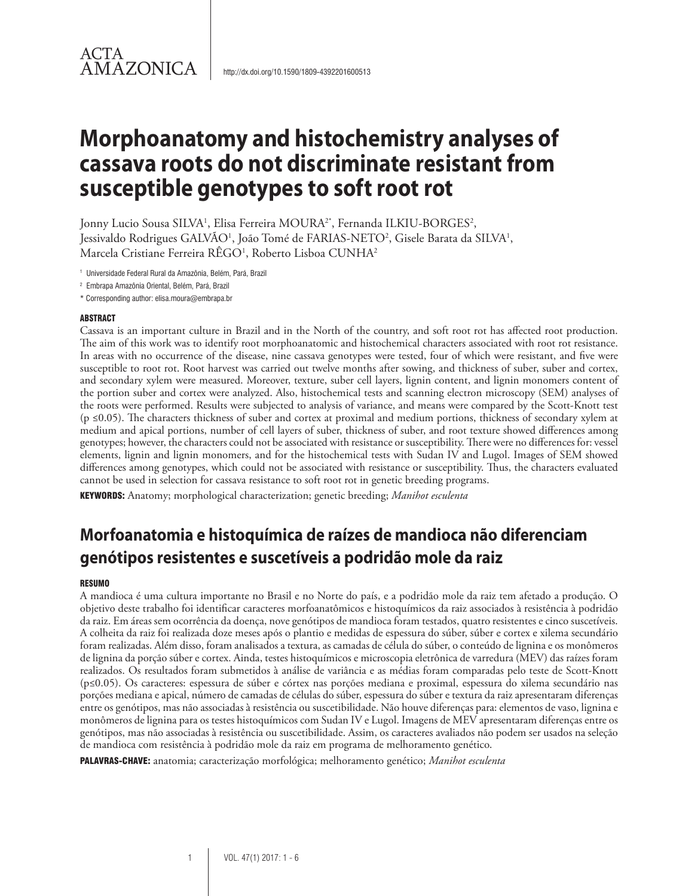### ACTA AMAZONICA

## **Morphoanatomy and histochemistry analyses of cassava roots do not discriminate resistant from susceptible genotypes to soft root rot**

Jonny Lucio Sousa SILVA<sup>1</sup>, Elisa Ferreira MOURA<sup>2\*</sup>, Fernanda ILKIU-BORGES<sup>2</sup>, Jessivaldo Rodrigues GALVÃO<sup>1</sup>, João Tomé de FARIAS-NETO<sup>2</sup>, Gisele Barata da SILVA<sup>1</sup>, Marcela Cristiane Ferreira RÊGO<sup>1</sup>, Roberto Lisboa CUNHA<sup>2</sup>

<sup>1</sup> Universidade Federal Rural da Amazônia, Belém, Pará, Brazil

<sup>2</sup> Embrapa Amazônia Oriental, Belém, Pará, Brazil

\* Corresponding author: elisa.moura@embrapa.br

#### ABSTRACT

Cassava is an important culture in Brazil and in the North of the country, and soft root rot has affected root production. The aim of this work was to identify root morphoanatomic and histochemical characters associated with root rot resistance. In areas with no occurrence of the disease, nine cassava genotypes were tested, four of which were resistant, and five were susceptible to root rot. Root harvest was carried out twelve months after sowing, and thickness of suber, suber and cortex, and secondary xylem were measured. Moreover, texture, suber cell layers, lignin content, and lignin monomers content of the portion suber and cortex were analyzed. Also, histochemical tests and scanning electron microscopy (SEM) analyses of the roots were performed. Results were subjected to analysis of variance, and means were compared by the Scott-Knott test (p ≤0.05). The characters thickness of suber and cortex at proximal and medium portions, thickness of secondary xylem at medium and apical portions, number of cell layers of suber, thickness of suber, and root texture showed differences among genotypes; however, the characters could not be associated with resistance or susceptibility. There were no differences for: vessel elements, lignin and lignin monomers, and for the histochemical tests with Sudan IV and Lugol. Images of SEM showed differences among genotypes, which could not be associated with resistance or susceptibility. Thus, the characters evaluated cannot be used in selection for cassava resistance to soft root rot in genetic breeding programs.

KEYWORDS: Anatomy; morphological characterization; genetic breeding; *Manihot esculenta*

## **Morfoanatomia e histoquímica de raízes de mandioca não diferenciam genótipos resistentes e suscetíveis a podridão mole da raiz**

#### RESUMO

A mandioca é uma cultura importante no Brasil e no Norte do país, e a podridão mole da raiz tem afetado a produção. O objetivo deste trabalho foi identificar caracteres morfoanatômicos e histoquímicos da raiz associados à resistência à podridão da raiz. Em áreas sem ocorrência da doença, nove genótipos de mandioca foram testados, quatro resistentes e cinco suscetíveis. A colheita da raiz foi realizada doze meses após o plantio e medidas de espessura do súber, súber e cortex e xilema secundário foram realizadas. Além disso, foram analisados a textura, as camadas de célula do súber, o conteúdo de lignina e os monômeros de lignina da porção súber e cortex. Ainda, testes histoquímicos e microscopia eletrônica de varredura (MEV) das raízes foram realizados. Os resultados foram submetidos à análise de variância e as médias foram comparadas pelo teste de Scott-Knott (p≤0.05). Os caracteres: espessura de súber e córtex nas porções mediana e proximal, espessura do xilema secundário nas porções mediana e apical, número de camadas de células do súber, espessura do súber e textura da raiz apresentaram diferenças entre os genótipos, mas não associadas à resistência ou suscetibilidade. Não houve diferenças para: elementos de vaso, lignina e monômeros de lignina para os testes histoquímicos com Sudan IV e Lugol. Imagens de MEV apresentaram diferenças entre os genótipos, mas não associadas à resistência ou suscetibilidade. Assim, os caracteres avaliados não podem ser usados na seleção de mandioca com resistência à podridão mole da raiz em programa de melhoramento genético.

PALAVRAS-CHAVE: anatomia; caracterização morfológica; melhoramento genético; *Manihot esculenta*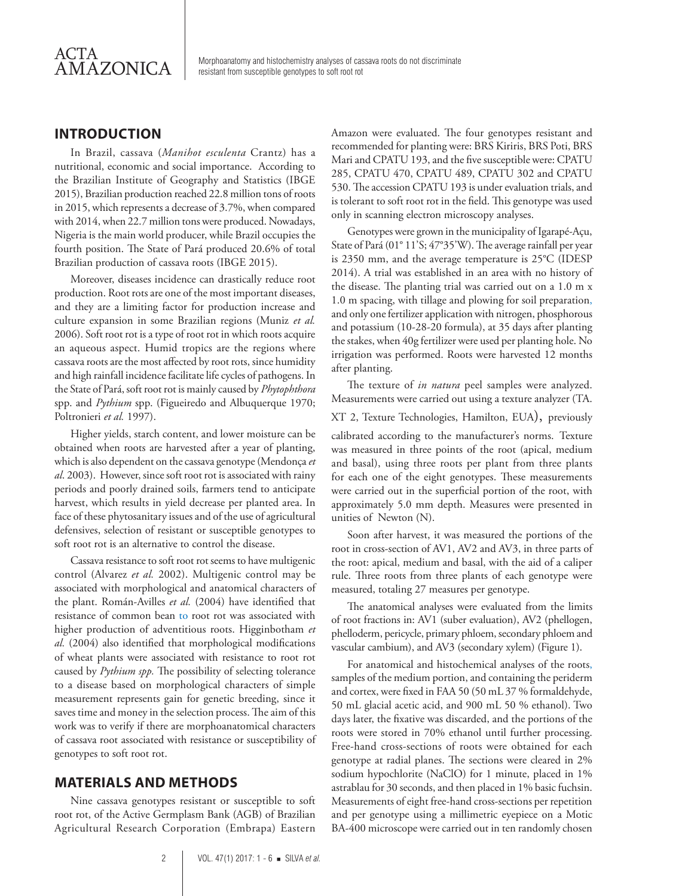#### **INTRODUCTION**

In Brazil, cassava (*Manihot esculenta* Crantz) has a nutritional, economic and social importance. According to the Brazilian Institute of Geography and Statistics (IBGE 2015), Brazilian production reached 22.8 million tons of roots in 2015, which represents a decrease of 3.7%, when compared with 2014, when 22.7 million tons were produced. Nowadays, Nigeria is the main world producer, while Brazil occupies the fourth position. The State of Pará produced 20.6% of total Brazilian production of cassava roots (IBGE 2015).

Moreover, diseases incidence can drastically reduce root production. Root rots are one of the most important diseases, and they are a limiting factor for production increase and culture expansion in some Brazilian regions (Muniz *et al.* 2006). Soft root rot is a type of root rot in which roots acquire an aqueous aspect. Humid tropics are the regions where cassava roots are the most affected by root rots, since humidity and high rainfall incidence facilitate life cycles of pathogens. In the State of Pará, soft root rot is mainly caused by *Phytophthora*  spp. and *Pythium* spp. (Figueiredo and Albuquerque 1970; Poltronieri *et al.* 1997).

Higher yields, starch content, and lower moisture can be obtained when roots are harvested after a year of planting, which is also dependent on the cassava genotype (Mendonça *et al*. 2003). However, since soft root rot is associated with rainy periods and poorly drained soils, farmers tend to anticipate harvest, which results in yield decrease per planted area. In face of these phytosanitary issues and of the use of agricultural defensives, selection of resistant or susceptible genotypes to soft root rot is an alternative to control the disease.

Cassava resistance to soft root rot seems to have multigenic control (Alvarez *et al.* 2002). Multigenic control may be associated with morphological and anatomical characters of the plant. Román-Avilles *et al.* (2004) have identified that resistance of common bean to root rot was associated with higher production of adventitious roots. Higginbotham *et al.* (2004) also identified that morphological modifications of wheat plants were associated with resistance to root rot caused by *Pythium spp.* The possibility of selecting tolerance to a disease based on morphological characters of simple measurement represents gain for genetic breeding, since it saves time and money in the selection process. The aim of this work was to verify if there are morphoanatomical characters of cassava root associated with resistance or susceptibility of genotypes to soft root rot.

#### **MATERIALS AND METHODS**

Nine cassava genotypes resistant or susceptible to soft root rot, of the Active Germplasm Bank (AGB) of Brazilian Agricultural Research Corporation (Embrapa) Eastern Amazon were evaluated. The four genotypes resistant and recommended for planting were: BRS Kiriris, BRS Poti, BRS Mari and CPATU 193, and the five susceptible were: CPATU 285, CPATU 470, CPATU 489, CPATU 302 and CPATU 530. The accession CPATU 193 is under evaluation trials, and is tolerant to soft root rot in the field. This genotype was used only in scanning electron microscopy analyses.

Genotypes were grown in the municipality of Igarapé-Açu, State of Pará (01° 11'S; 47°35'W). The average rainfall per year is 2350 mm, and the average temperature is 25°C (IDESP 2014). A trial was established in an area with no history of the disease. The planting trial was carried out on a 1.0 m x 1.0 m spacing, with tillage and plowing for soil preparation, and only one fertilizer application with nitrogen, phosphorous and potassium (10-28-20 formula), at 35 days after planting the stakes, when 40g fertilizer were used per planting hole. No irrigation was performed. Roots were harvested 12 months after planting.

The texture of *in natura* peel samples were analyzed. Measurements were carried out using a texture analyzer (TA. XT 2, Texture Technologies, Hamilton, EUA), previously calibrated according to the manufacturer's norms. Texture was measured in three points of the root (apical, medium and basal), using three roots per plant from three plants for each one of the eight genotypes. These measurements were carried out in the superficial portion of the root, with approximately 5.0 mm depth. Measures were presented in unities of Newton (N).

Soon after harvest, it was measured the portions of the root in cross-section of AV1, AV2 and AV3, in three parts of the root: apical, medium and basal, with the aid of a caliper rule. Three roots from three plants of each genotype were measured, totaling 27 measures per genotype.

The anatomical analyses were evaluated from the limits of root fractions in: AV1 (suber evaluation), AV2 (phellogen, phelloderm, pericycle, primary phloem, secondary phloem and vascular cambium), and AV3 (secondary xylem) (Figure 1).

For anatomical and histochemical analyses of the roots, samples of the medium portion, and containing the periderm and cortex, were fixed in FAA 50 (50 mL 37 % formaldehyde, 50 mL glacial acetic acid, and 900 mL 50 % ethanol). Two days later, the fixative was discarded, and the portions of the roots were stored in 70% ethanol until further processing. Free-hand cross-sections of roots were obtained for each genotype at radial planes. The sections were cleared in 2% sodium hypochlorite (NaClO) for 1 minute, placed in 1% astrablau for 30 seconds, and then placed in 1% basic fuchsin. Measurements of eight free-hand cross-sections per repetition and per genotype using a millimetric eyepiece on a Motic BA-400 microscope were carried out in ten randomly chosen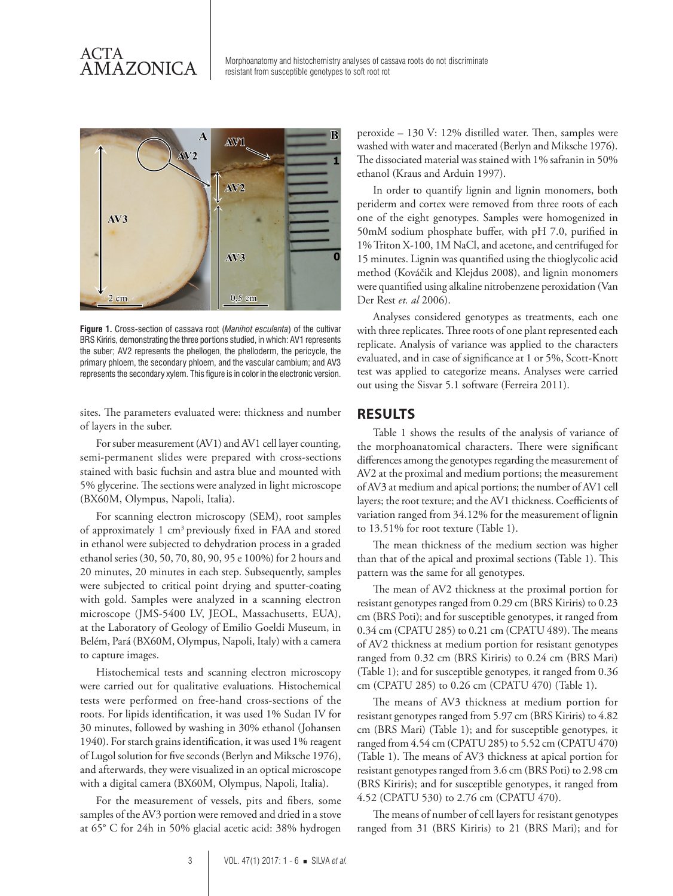# ACTA<br>AMAZONICA

Morphoanatomy and histochemistry analyses of cassava roots do not discriminate resistant from susceptible genotypes to soft root rot



**Figure 1.** Cross-section of cassava root (*Manihot esculenta*) of the cultivar BRS Kiriris, demonstrating the three portions studied, in which: AV1 represents the suber; AV2 represents the phellogen, the phelloderm, the pericycle, the primary phloem, the secondary phloem, and the vascular cambium; and AV3 represents the secondary xylem. This figure is in color in the electronic version.

sites. The parameters evaluated were: thickness and number of layers in the suber.

For suber measurement (AV1) and AV1 cell layer counting, semi-permanent slides were prepared with cross-sections stained with basic fuchsin and astra blue and mounted with 5% glycerine. The sections were analyzed in light microscope (BX60M, Olympus, Napoli, Italia).

For scanning electron microscopy (SEM), root samples of approximately 1 cm3 previously fixed in FAA and stored in ethanol were subjected to dehydration process in a graded ethanol series (30, 50, 70, 80, 90, 95 e 100%) for 2 hours and 20 minutes, 20 minutes in each step. Subsequently, samples were subjected to critical point drying and sputter-coating with gold. Samples were analyzed in a scanning electron microscope (JMS-5400 LV, JEOL, Massachusetts, EUA), at the Laboratory of Geology of Emilio Goeldi Museum, in Belém, Pará (BX60M, Olympus, Napoli, Italy) with a camera to capture images.

Histochemical tests and scanning electron microscopy were carried out for qualitative evaluations. Histochemical tests were performed on free-hand cross-sections of the roots. For lipids identification, it was used 1% Sudan IV for 30 minutes, followed by washing in 30% ethanol (Johansen 1940). For starch grains identification, it was used 1% reagent of Lugol solution for five seconds (Berlyn and Miksche 1976), and afterwards, they were visualized in an optical microscope with a digital camera (BX60M, Olympus, Napoli, Italia).

For the measurement of vessels, pits and fibers, some samples of the AV3 portion were removed and dried in a stove at 65° C for 24h in 50% glacial acetic acid: 38% hydrogen

peroxide – 130 V: 12% distilled water. Then, samples were washed with water and macerated (Berlyn and Miksche 1976). The dissociated material was stained with 1% safranin in 50% ethanol (Kraus and Arduin 1997).

In order to quantify lignin and lignin monomers, both periderm and cortex were removed from three roots of each one of the eight genotypes. Samples were homogenized in 50mM sodium phosphate buffer, with pH 7.0, purified in 1% Triton X-100, 1M NaCl, and acetone, and centrifuged for 15 minutes. Lignin was quantified using the thioglycolic acid method (Kováčik and Klejdus 2008), and lignin monomers were quantified using alkaline nitrobenzene peroxidation (Van Der Rest *et. al* 2006).

Analyses considered genotypes as treatments, each one with three replicates. Three roots of one plant represented each replicate. Analysis of variance was applied to the characters evaluated, and in case of significance at 1 or 5%, Scott-Knott test was applied to categorize means. Analyses were carried out using the Sisvar 5.1 software (Ferreira 2011).

#### **RESULTS**

Table 1 shows the results of the analysis of variance of the morphoanatomical characters. There were significant differences among the genotypes regarding the measurement of AV2 at the proximal and medium portions; the measurement of AV3 at medium and apical portions; the number of AV1 cell layers; the root texture; and the AV1 thickness. Coefficients of variation ranged from 34.12% for the measurement of lignin to 13.51% for root texture (Table 1).

The mean thickness of the medium section was higher than that of the apical and proximal sections (Table 1). This pattern was the same for all genotypes.

The mean of AV2 thickness at the proximal portion for resistant genotypes ranged from 0.29 cm (BRS Kiriris) to 0.23 cm (BRS Poti); and for susceptible genotypes, it ranged from 0.34 cm (CPATU 285) to 0.21 cm (CPATU 489). The means of AV2 thickness at medium portion for resistant genotypes ranged from 0.32 cm (BRS Kiriris) to 0.24 cm (BRS Mari) (Table 1); and for susceptible genotypes, it ranged from 0.36 cm (CPATU 285) to 0.26 cm (CPATU 470) (Table 1).

The means of AV3 thickness at medium portion for resistant genotypes ranged from 5.97 cm (BRS Kiriris) to 4.82 cm (BRS Mari) (Table 1); and for susceptible genotypes, it ranged from 4.54 cm (CPATU 285) to 5.52 cm (CPATU 470) (Table 1). The means of AV3 thickness at apical portion for resistant genotypes ranged from 3.6 cm (BRS Poti) to 2.98 cm (BRS Kiriris); and for susceptible genotypes, it ranged from 4.52 (CPATU 530) to 2.76 cm (CPATU 470).

The means of number of cell layers for resistant genotypes ranged from 31 (BRS Kiriris) to 21 (BRS Mari); and for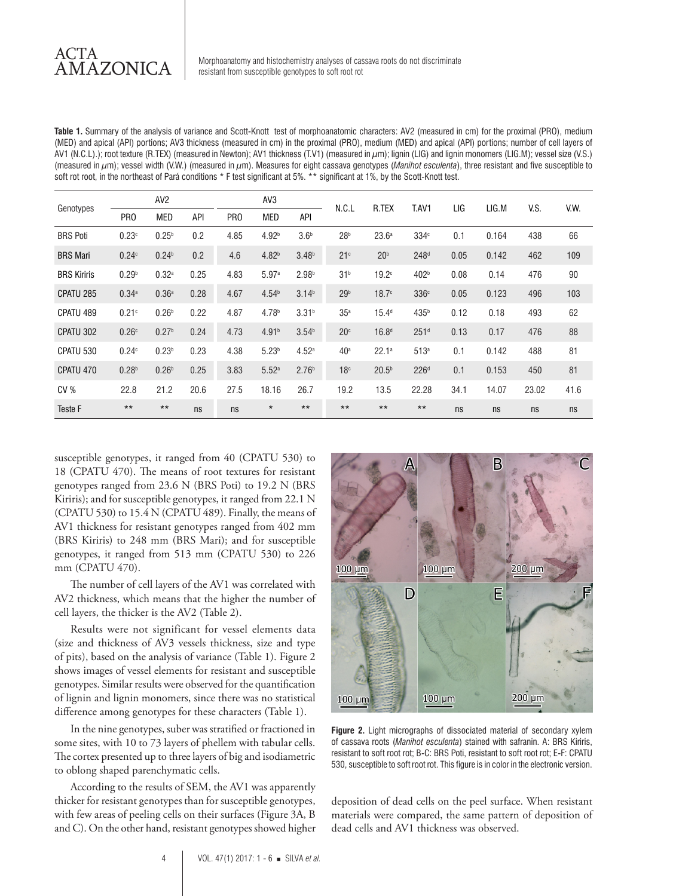**Table 1.** Summary of the analysis of variance and Scott-Knott test of morphoanatomic characters: AV2 (measured in cm) for the proximal (PRO), medium (MED) and apical (API) portions; AV3 thickness (measured in cm) in the proximal (PRO), medium (MED) and apical (API) portions; number of cell layers of AV1 (N.C.L).); root texture (R.TEX) (measured in Newton); AV1 thickness (T.V1) (measured in  $\mu$ m); lignin (LIG) and lignin monomers (LIG.M); vessel size (V.S.) (measured in µm); vessel width (V.W.) (measured in µm). Measures for eight cassava genotypes (*Manihot esculenta*), three resistant and five susceptible to soft rot root, in the northeast of Pará conditions \* F test significant at 5%. \*\* significant at 1%, by the Scott-Knott test.

| Genotypes          | AV <sub>2</sub>   |                   |      | AV3             |                   |                   |                 |                   |                  |      |       |       |      |
|--------------------|-------------------|-------------------|------|-----------------|-------------------|-------------------|-----------------|-------------------|------------------|------|-------|-------|------|
|                    | PR <sub>0</sub>   | <b>MED</b>        | API  | PR <sub>0</sub> | <b>MED</b>        | API               | N.C.L           | R.TEX             | T.AV1            | LIG  | LIG.M | V.S.  | V.W. |
| <b>BRS Poti</b>    | 0.23c             | $0.25^{b}$        | 0.2  | 4.85            | 4.92 <sup>b</sup> | 3.6 <sup>b</sup>  | 28 <sup>b</sup> | 23.6 <sup>a</sup> | 334c             | 0.1  | 0.164 | 438   | 66   |
| <b>BRS Mari</b>    | 0.24c             | 0.24 <sup>b</sup> | 0.2  | 4.6             | 4.82 <sup>b</sup> | 3.48 <sup>b</sup> | 21 <sup>c</sup> | 20 <sup>b</sup>   | 248 <sup>d</sup> | 0.05 | 0.142 | 462   | 109  |
| <b>BRS Kiriris</b> | 0.29 <sup>b</sup> | 0.32a             | 0.25 | 4.83            | 5.97a             | 2.98 <sup>b</sup> | 31 <sup>b</sup> | 19.2 <sup>c</sup> | 402 <sup>b</sup> | 0.08 | 0.14  | 476   | 90   |
| CPATU 285          | 0.34a             | 0.36 <sup>a</sup> | 0.28 | 4.67            | 4.54 <sup>b</sup> | 3.14 <sup>b</sup> | 29 <sup>b</sup> | 18.7 <sup>c</sup> | 336c             | 0.05 | 0.123 | 496   | 103  |
| CPATU 489          | 0.21c             | 0.26 <sup>b</sup> | 0.22 | 4.87            | 4.78 <sup>b</sup> | 3.31 <sup>b</sup> | 35 <sup>a</sup> | 15.4 <sup>d</sup> | 435 <sup>b</sup> | 0.12 | 0.18  | 493   | 62   |
| CPATU 302          | 0.26c             | 0.27 <sup>b</sup> | 0.24 | 4.73            | 4.91 <sup>b</sup> | 3.54 <sup>b</sup> | 20 <sup>c</sup> | 16.8 <sup>d</sup> | 251 <sup>d</sup> | 0.13 | 0.17  | 476   | 88   |
| CPATU 530          | 0.24c             | 0.23 <sup>b</sup> | 0.23 | 4.38            | 5.23 <sup>b</sup> | 4.52 <sup>a</sup> | 40 <sup>a</sup> | 22.1a             | 513a             | 0.1  | 0.142 | 488   | 81   |
| CPATU 470          | 0.28 <sup>b</sup> | 0.26 <sup>b</sup> | 0.25 | 3.83            | 5.52a             | 2.76 <sup>b</sup> | 18 <sup>c</sup> | 20.5 <sup>b</sup> | 226 <sup>d</sup> | 0.1  | 0.153 | 450   | 81   |
| CV%                | 22.8              | 21.2              | 20.6 | 27.5            | 18.16             | 26.7              | 19.2            | 13.5              | 22.28            | 34.1 | 14.07 | 23.02 | 41.6 |
| Teste F            | $***$             | $***$             | ns   | ns              | $^\star$          | $***$             | $***$           | $***$             | $***$            | ns   | ns    | ns    | ns   |

susceptible genotypes, it ranged from 40 (CPATU 530) to 18 (CPATU 470). The means of root textures for resistant genotypes ranged from 23.6 N (BRS Poti) to 19.2 N (BRS Kiriris); and for susceptible genotypes, it ranged from 22.1 N (CPATU 530) to 15.4 N (CPATU 489). Finally, the means of AV1 thickness for resistant genotypes ranged from 402 mm (BRS Kiriris) to 248 mm (BRS Mari); and for susceptible genotypes, it ranged from 513 mm (CPATU 530) to 226 mm (CPATU 470).

The number of cell layers of the AV1 was correlated with AV2 thickness, which means that the higher the number of cell layers, the thicker is the AV2 (Table 2).

Results were not significant for vessel elements data (size and thickness of AV3 vessels thickness, size and type of pits), based on the analysis of variance (Table 1). Figure 2 shows images of vessel elements for resistant and susceptible genotypes. Similar results were observed for the quantification of lignin and lignin monomers, since there was no statistical difference among genotypes for these characters (Table 1).

In the nine genotypes, suber was stratified or fractioned in some sites, with 10 to 73 layers of phellem with tabular cells. The cortex presented up to three layers of big and isodiametric to oblong shaped parenchymatic cells.

According to the results of SEM, the AV1 was apparently thicker for resistant genotypes than for susceptible genotypes, with few areas of peeling cells on their surfaces (Figure 3A, B and C). On the other hand, resistant genotypes showed higher



**Figure 2.** Light micrographs of dissociated material of secondary xylem of cassava roots (*Manihot esculenta*) stained with safranin. A: BRS Kiriris, resistant to soft root rot; B-C: BRS Poti, resistant to soft root rot; E-F: CPATU 530, susceptible to soft root rot. This figure is in color in the electronic version.

deposition of dead cells on the peel surface. When resistant materials were compared, the same pattern of deposition of dead cells and AV1 thickness was observed.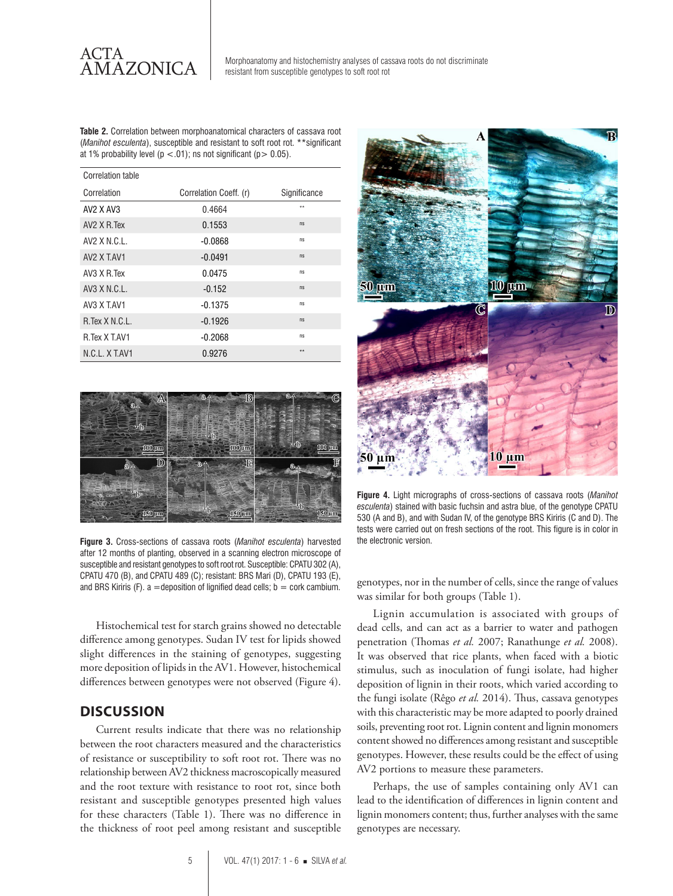# ACTA<br>AMAZONICA

Morphoanatomy and histochemistry analyses of cassava roots do not discriminate resistant from susceptible genotypes to soft root rot

**Table 2.** Correlation between morphoanatomical characters of cassava root (*Manihot esculenta*), susceptible and resistant to soft root rot. \*\*significant at 1% probability level ( $p < .01$ ); ns not significant ( $p > 0.05$ ).

| Correlation table   |                        |              |
|---------------------|------------------------|--------------|
| Correlation         | Correlation Coeff. (r) | Significance |
| AV2 X AV3           | 0.4664                 | $***$        |
| AV2 X R.Tex         | 0.1553                 | ns           |
| $AV2$ X N.C.I.      | $-0.0868$              | ns           |
| AV2 X T.AV1         | $-0.0491$              | ns           |
| AV3 X R Tex         | 0.0475                 | ns           |
| $AV3$ $X$ $N$ .C.L. | $-0.152$               | ns           |
| AV3 X T.AV1         | $-0.1375$              | ns           |
| R. Tex X N.C.L.     | $-0.1926$              | ns           |
| R. Tex X T. AV1     | $-0.2068$              | ns           |
| N.C.L. X T.AV1      | 0.9276                 | $\star\star$ |



**Figure 3.** Cross-sections of cassava roots (*Manihot esculenta*) harvested after 12 months of planting, observed in a scanning electron microscope of susceptible and resistant genotypes to soft root rot. Susceptible: CPATU 302 (A), CPATU 470 (B), and CPATU 489 (C); resistant: BRS Mari (D), CPATU 193 (E), and BRS Kiriris (F). a =deposition of lignified dead cells;  $b = \text{cork}$  cambium.

Histochemical test for starch grains showed no detectable difference among genotypes. Sudan IV test for lipids showed slight differences in the staining of genotypes, suggesting more deposition of lipids in the AV1. However, histochemical differences between genotypes were not observed (Figure 4).

#### **DISCUSSION**

Current results indicate that there was no relationship between the root characters measured and the characteristics of resistance or susceptibility to soft root rot. There was no relationship between AV2 thickness macroscopically measured and the root texture with resistance to root rot, since both resistant and susceptible genotypes presented high values for these characters (Table 1). There was no difference in the thickness of root peel among resistant and susceptible



**Figure 4.** Light micrographs of cross-sections of cassava roots (*Manihot esculenta*) stained with basic fuchsin and astra blue, of the genotype CPATU 530 (A and B), and with Sudan IV, of the genotype BRS Kiriris (C and D). The tests were carried out on fresh sections of the root. This figure is in color in the electronic version.

genotypes, nor in the number of cells, since the range of values was similar for both groups (Table 1).

Lignin accumulation is associated with groups of dead cells, and can act as a barrier to water and pathogen penetration (Thomas *et al.* 2007; Ranathunge *et al.* 2008). It was observed that rice plants, when faced with a biotic stimulus, such as inoculation of fungi isolate, had higher deposition of lignin in their roots, which varied according to the fungi isolate (Rêgo *et al.* 2014). Thus, cassava genotypes with this characteristic may be more adapted to poorly drained soils, preventing root rot. Lignin content and lignin monomers content showed no differences among resistant and susceptible genotypes. However, these results could be the effect of using AV2 portions to measure these parameters.

Perhaps, the use of samples containing only AV1 can lead to the identification of differences in lignin content and lignin monomers content; thus, further analyses with the same genotypes are necessary.